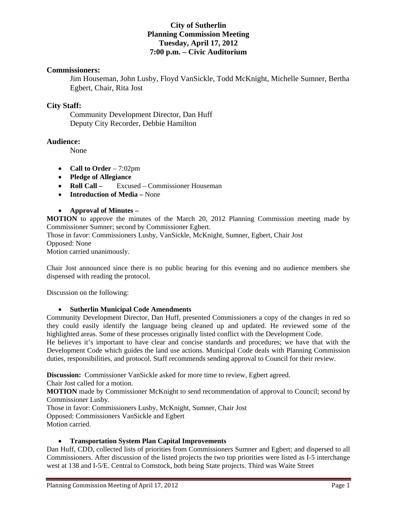## **City of Sutherlin Planning Commission Meeting Tuesday, April 17, 2012 7:00 p.m. – Civic Auditorium**

#### **Commissioners:**

Jim Houseman, John Lusby, Floyd VanSickle, Todd McKnight, Michelle Sumner, Bertha Egbert, Chair, Rita Jost

## **City Staff:**

 Community Development Director, Dan Huff Deputy City Recorder, Debbie Hamilton

#### **Audience:**

None

- **Call to Order** 7:02pm
- **Pledge of Allegiance**
- **Roll Call** Excused Commissioner Houseman
- **Introduction of Media** None

**Approval of Minutes –** 

**MOTION** to approve the minutes of the March 20, 2012 Planning Commission meeting made by Commissioner Sumner; second by Commissioner Egbert.

Those in favor: Commissioners Lusby, VanSickle, McKnight, Sumner, Egbert, Chair Jost Opposed: None

Motion carried unanimously.

Chair Jost announced since there is no public hearing for this evening and no audience members she dispensed with reading the protocol.

Discussion on the following:

#### **Sutherlin Municipal Code Amendments**

Community Development Director, Dan Huff, presented Commissioners a copy of the changes in red so they could easily identify the language being cleaned up and updated. He reviewed some of the highlighted areas. Some of these processes originally listed conflict with the Development Code.

He believes it's important to have clear and concise standards and procedures; we have that with the Development Code which guides the land use actions. Municipal Code deals with Planning Commission duties, responsibilities, and protocol. Staff recommends sending approval to Council for their review.

**Discussion:** Commissioner VanSickle asked for more time to review, Egbert agreed.

Chair Jost called for a motion.

**MOTION** made by Commissioner McKnight to send recommendation of approval to Council; second by Commissioner Lusby.

Those in favor: Commissioners Lusby, McKnight, Sumner, Chair Jost Opposed: Commissioners VanSickle and Egbert Motion carried.

#### **Transportation System Plan Capital Improvements**

Dan Huff, CDD, collected lists of priorities from Commissioners Sumner and Egbert; and dispersed to all Commissioners. After discussion of the listed projects the two top priorities were listed as I-5 interchange west at 138 and I-5/E. Central to Comstock, both being State projects. Third was Waite Street